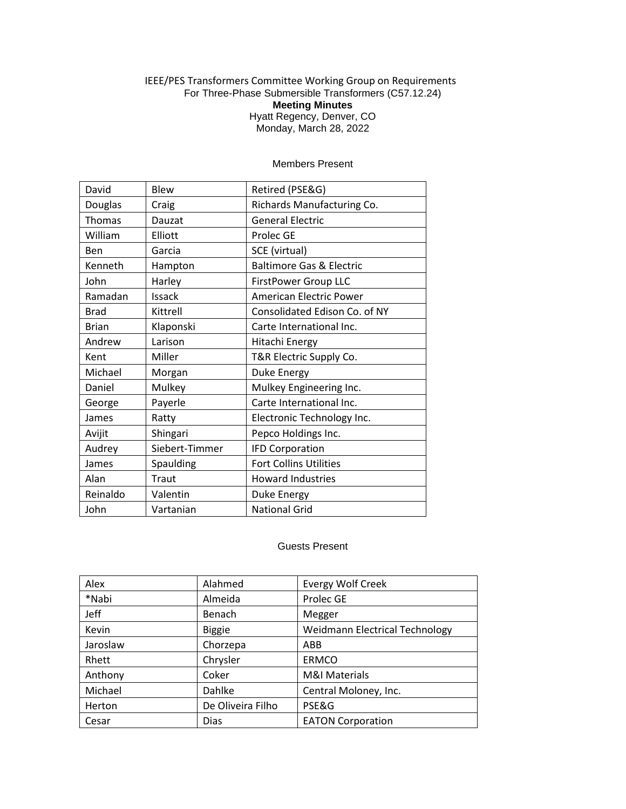## IEEE/PES Transformers Committee Working Group on Requirements For Three-Phase Submersible Transformers (C57.12.24) **Meeting Minutes** Hyatt Regency, Denver, CO Monday, March 28, 2022

| David         | Blew           | Retired (PSE&G)                     |
|---------------|----------------|-------------------------------------|
| Douglas       | Craig          | Richards Manufacturing Co.          |
| <b>Thomas</b> | Dauzat         | <b>General Electric</b>             |
| William       | Elliott        | <b>Prolec GE</b>                    |
| Ben           | Garcia         | SCE (virtual)                       |
| Kenneth       | Hampton        | <b>Baltimore Gas &amp; Electric</b> |
| John          | Harley         | FirstPower Group LLC                |
| Ramadan       | Issack         | <b>American Electric Power</b>      |
| <b>Brad</b>   | Kittrell       | Consolidated Edison Co. of NY       |
| <b>Brian</b>  | Klaponski      | Carte International Inc.            |
| Andrew        | Larison        | Hitachi Energy                      |
| Kent          | Miller         | T&R Electric Supply Co.             |
| Michael       | Morgan         | Duke Energy                         |
| Daniel        | Mulkey         | Mulkey Engineering Inc.             |
| George        | Payerle        | Carte International Inc.            |
| James         | Ratty          | Electronic Technology Inc.          |
| Avijit        | Shingari       | Pepco Holdings Inc.                 |
| Audrey        | Siebert-Timmer | <b>IFD Corporation</b>              |
| James         | Spaulding      | <b>Fort Collins Utilities</b>       |
| Alan          | Traut          | <b>Howard Industries</b>            |
| Reinaldo      | Valentin       | Duke Energy                         |
| John          | Vartanian      | <b>National Grid</b>                |

## Members Present

## Guests Present

| Alex     | Alahmed           | <b>Evergy Wolf Creek</b>              |
|----------|-------------------|---------------------------------------|
| *Nabi    | Almeida           | Prolec GE                             |
| Jeff     | Benach            | Megger                                |
| Kevin    | <b>Biggie</b>     | <b>Weidmann Electrical Technology</b> |
| Jaroslaw | Chorzepa          | ABB                                   |
| Rhett    | Chrysler          | <b>ERMCO</b>                          |
| Anthony  | Coker             | <b>M&amp;I Materials</b>              |
| Michael  | Dahlke            | Central Moloney, Inc.                 |
| Herton   | De Oliveira Filho | PSE&G                                 |
| Cesar    | <b>Dias</b>       | <b>EATON Corporation</b>              |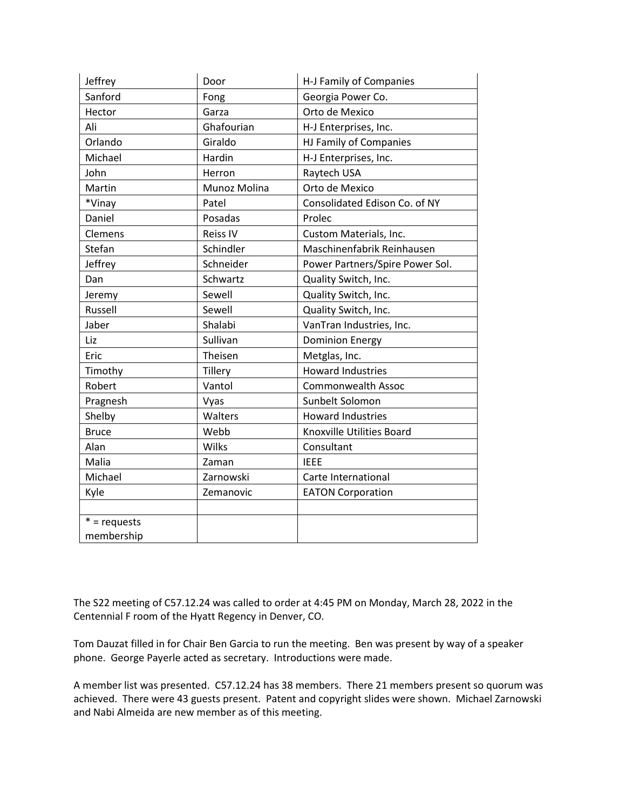| Jeffrey        | Door            | H-J Family of Companies         |
|----------------|-----------------|---------------------------------|
| Sanford        | Fong            | Georgia Power Co.               |
| Hector         | Garza           | Orto de Mexico                  |
| Ali            | Ghafourian      | H-J Enterprises, Inc.           |
| Orlando        | Giraldo         | HJ Family of Companies          |
| Michael        | Hardin          | H-J Enterprises, Inc.           |
| John           | Herron          | Raytech USA                     |
| Martin         | Munoz Molina    | Orto de Mexico                  |
| *Vinay         | Patel           | Consolidated Edison Co. of NY   |
| Daniel         | Posadas         | Prolec                          |
| Clemens        | <b>Reiss IV</b> | Custom Materials, Inc.          |
| Stefan         | Schindler       | Maschinenfabrik Reinhausen      |
| Jeffrey        | Schneider       | Power Partners/Spire Power Sol. |
| Dan            | Schwartz        | Quality Switch, Inc.            |
| Jeremy         | Sewell          | Quality Switch, Inc.            |
| Russell        | Sewell          | Quality Switch, Inc.            |
| Jaber          | Shalabi         | VanTran Industries, Inc.        |
| Liz            | Sullivan        | <b>Dominion Energy</b>          |
| Eric           | Theisen         | Metglas, Inc.                   |
| Timothy        | Tillery         | <b>Howard Industries</b>        |
| Robert         | Vantol          | Commonwealth Assoc              |
| Pragnesh       | Vyas            | Sunbelt Solomon                 |
| Shelby         | Walters         | <b>Howard Industries</b>        |
| <b>Bruce</b>   | Webb            | Knoxville Utilities Board       |
| Alan           | Wilks           | Consultant                      |
| Malia          | Zaman           | <b>IEEE</b>                     |
| Michael        | Zarnowski       | Carte International             |
| Kyle           | Zemanovic       | <b>EATON Corporation</b>        |
|                |                 |                                 |
| $* =$ requests |                 |                                 |
| membership     |                 |                                 |

The S22 meeting of C57.12.24 was called to order at 4:45 PM on Monday, March 28, 2022 in the Centennial F room of the Hyatt Regency in Denver, CO.

Tom Dauzat filled in for Chair Ben Garcia to run the meeting. Ben was present by way of a speaker phone. George Payerle acted as secretary. Introductions were made.

A member list was presented. C57.12.24 has 38 members. There 21 members present so quorum was achieved. There were 43 guests present. Patent and copyright slides were shown. Michael Zarnowski and Nabi Almeida are new member as of this meeting.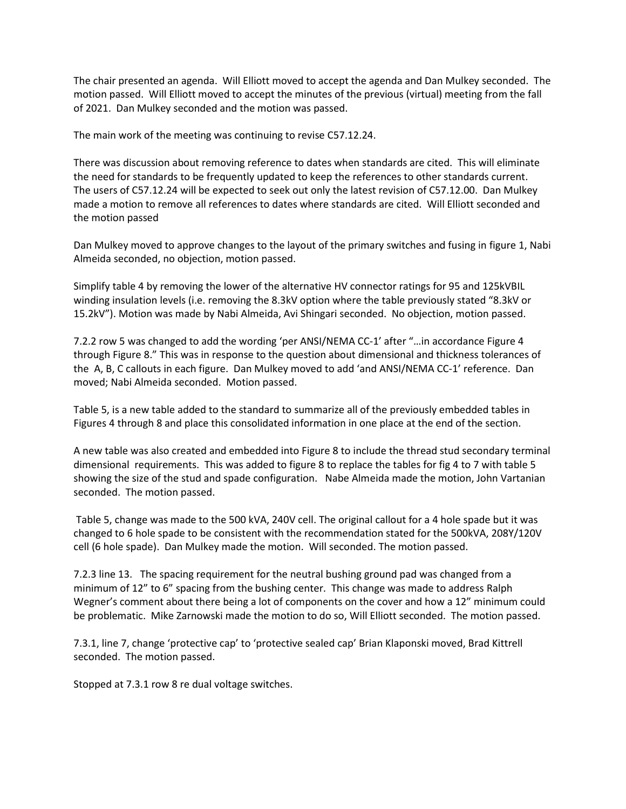The chair presented an agenda. Will Elliott moved to accept the agenda and Dan Mulkey seconded. The motion passed. Will Elliott moved to accept the minutes of the previous (virtual) meeting from the fall of 2021. Dan Mulkey seconded and the motion was passed.

The main work of the meeting was continuing to revise C57.12.24.

There was discussion about removing reference to dates when standards are cited. This will eliminate the need for standards to be frequently updated to keep the references to other standards current. The users of C57.12.24 will be expected to seek out only the latest revision of C57.12.00. Dan Mulkey made a motion to remove all references to dates where standards are cited. Will Elliott seconded and the motion passed

Dan Mulkey moved to approve changes to the layout of the primary switches and fusing in figure 1, Nabi Almeida seconded, no objection, motion passed.

Simplify table 4 by removing the lower of the alternative HV connector ratings for 95 and 125kVBIL winding insulation levels (i.e. removing the 8.3kV option where the table previously stated "8.3kV or 15.2kV"). Motion was made by Nabi Almeida, Avi Shingari seconded. No objection, motion passed.

7.2.2 row 5 was changed to add the wording 'per ANSI/NEMA CC-1' after "…in accordance Figure 4 through Figure 8." This was in response to the question about dimensional and thickness tolerances of the A, B, C callouts in each figure. Dan Mulkey moved to add 'and ANSI/NEMA CC-1' reference. Dan moved; Nabi Almeida seconded. Motion passed.

Table 5, is a new table added to the standard to summarize all of the previously embedded tables in Figures 4 through 8 and place this consolidated information in one place at the end of the section.

A new table was also created and embedded into Figure 8 to include the thread stud secondary terminal dimensional requirements. This was added to figure 8 to replace the tables for fig 4 to 7 with table 5 showing the size of the stud and spade configuration. Nabe Almeida made the motion, John Vartanian seconded. The motion passed.

Table 5, change was made to the 500 kVA, 240V cell. The original callout for a 4 hole spade but it was changed to 6 hole spade to be consistent with the recommendation stated for the 500kVA, 208Y/120V cell (6 hole spade). Dan Mulkey made the motion. Will seconded. The motion passed.

7.2.3 line 13. The spacing requirement for the neutral bushing ground pad was changed from a minimum of 12" to 6" spacing from the bushing center. This change was made to address Ralph Wegner's comment about there being a lot of components on the cover and how a 12" minimum could be problematic. Mike Zarnowski made the motion to do so, Will Elliott seconded. The motion passed.

7.3.1, line 7, change 'protective cap' to 'protective sealed cap' Brian Klaponski moved, Brad Kittrell seconded. The motion passed.

Stopped at 7.3.1 row 8 re dual voltage switches.